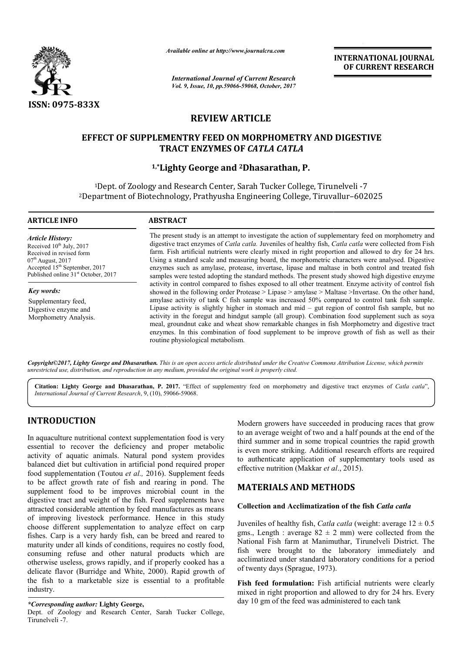

*Available online at http://www.journal http://www.journalcra.com*

*International Journal of Current Research Vol. 9, Issue, 10, pp.59066-59068, October, 2017* **INTERNATIONAL JOURNAL OF CURRENT RESEARCH** 

# **REVIEW ARTICLE**

# **EFFECT OF SUPPLEMENTRY FEED ON MORPHOMETRY AND DIGESTIVE TRACT ENZYMES OF**  *CATLA CATLA*

# **1,\*Lighty Lighty George and 2Dhasarathan, P.**

<sup>1</sup>Dept. of Zoology and Research Center, Sarah Tucker College, Tirunelveli -7 <sup>2</sup>Department of Biotechnology, Prathyusha Engineering College, Tiruvallur-602025

#### **ARTICLE INFO ABSTRACT**

*Article History:* Received  $10^{th}$  July, 2017 Received in revised form  $07<sup>th</sup>$  August, 2017 Accepted 15<sup>th</sup> September, 2017 Published online 31<sup>st</sup> October, 2017

*Key words:* Supplementary feed, Digestive enzyme and Morphometry Analysis. The present study is an attempt to investigate the action of supplementary feed on morphometry and The present study is an attempt to investigate the action of supplementary feed on morphometry and digestive tract enzymes of *Catla catla*. Juveniles of healthy fish, *Catla catla* were collected from Fish farm. Fish artificial nutrients were clearly mixed in right proportion and allowed to dry for 24 hrs. farm. Fish artificial nutrients were clearly mixed in right proportion and allowed to dry for 24 hrs.<br>Using a standard scale and measuring board, the morphometric characters were analysed. Digestive enzymes such as amylase, protease, invertase, lipase and maltase in both control and treated fish samples were tested adopting the standard methods. The present study showed high digestive enzyme activity in control compared to fishes exposed to all other treatment. Enzyme activity of control fish showed in the following order Protease  $>$  Lipase  $>$  amylase  $>$  Maltase  $>$ Invertase. On the other hand, amylase activity of tank C fish sample was increased 50% compared to control tank fish sample. Lipase activity is slightly higher in stomach and mid – gut region of control fish sample, but no activity in the foregut and hindgut sample (all group). Combination food supplement such as soya meal, groundnut cake and wheat show remarkable changes in fish Morphometry and digestive tract enzymes. In this combination of food supplement to be improve growth of fish as well as their routine physiological metabolism. amylase, protease, invertase, lipase and maltase in both control and treated fish red adopting the standard methods. The present study showed high digestive enzyme I compared to fishes exposed to all other treatment. Enzym Length to laboratory immediately twenty days artificial nutrients clearly mixed proportion dry hrs. 10 gm of the to each tank

*Copyright©2017, Lighty George and Dhasarathan. This is an open access article distributed under the Creative Commons Att Attribution License, which permits unrestricted use, distribution, and reproduction in any medium, provided the original work is properly cited.*

**Citation: Lighty George and Dhasarathan, P. 2017.** "Effect of supplementry feed on morphometry and digestive tract enzymes of tract enzymes *Catla catla*",*International Journal of Current Research*, 9, (10), 590 59066-59068.

# **INTRODUCTION**

In aquaculture nutritional context supplementation food is very essential to recover the deficiency and proper metabolic activity of aquatic animals. Natural pond system provides balanced diet but cultivation in artificial pond required proper food supplementation (Toutou *et al.,* 2016). Supplement feeds to be affect growth rate of fish and rearing in pond. The supplement food to be improves microbial count in the digestive tract and weight of the fish. Feed supplements have attracted considerable attention by feed manufactures as m means of improving livestock performance. Hence in this study choose different supplementation to analyze effect on carp fishes. Carp is a very hardy fish, can be breed and reared to maturity under all kinds of conditions, requires no costly food, consuming refuse and other natural products which are otherwise useless, grows rapidly, and if properly cooked has a delicate flavor (Burridge and White, 2000). Rapid growth of the fish to a marketable size is essential to a profitable industry.

#### *\*Corresponding author:* **Lighty George,**

Dept. of Zoology and Research Center, Sarah Tucker College, Tirunelveli -7.

Modern growers have succeeded in producing races that grow to an average weight of two and a half pounds at the end of the third summer and in some tropical countries the rapid growth is even more striking. Additional research efforts are required to authenticate application of supplementary tools used as effective nutrition (Makkar *et al.*, 2015). odern growers have succeeded in producing races that grow<br>an average weight of two and a half pounds at the end of the<br>rd summer and in some tropical countries the rapid growth iking. Additional research efforts are required<br>application of supplementary tools used as<br>n (Makkar *et al.*, 2015).

# **MATERIALS AND METHODS METHODS**

## **Collection and Acclimatization of the fish Catla catla**

Juveniles of healthy fish, *Catla catla* (weight: average  $12 \pm 0.5$ ) gms., Length : average  $82 \pm 2$  mm) were collected from the National Fish farm at Manimuthar, Tirunelveli District. The fish were brought to the laboratory immediately and acclimatized under standard laboratory conditions for a period of twenty days (Sprague, 1973).

Fish feed formulation: Fish artificial nutrients were clearly mixed in right proportion and allowed to dry for 24 hrs. Every day 10 gm of the feed was administered to each tank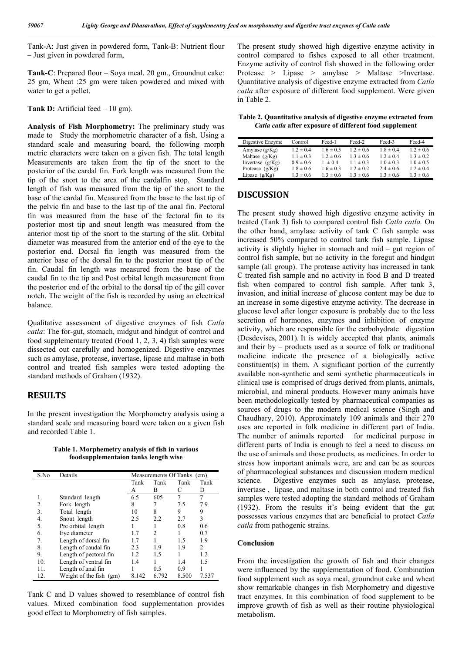Tank-A: Just given in powdered form, Tank-B: Nutrient flour – Just given in powdered form,

**Tank-C**: Prepared flour – Soya meal. 20 gm., Groundnut cake: 25 gm, Wheat :25 gm were taken powdered and mixed with water to get a pellet.

Tank D: Artificial feed – 10 gm).

**Analysis of Fish Morphometry:** The preliminary study was made to Study the morphometric character of a fish. Using a standard scale and measuring board, the following morph metric characters were taken on a given fish. The total length Measurements are taken from the tip of the snort to the posterior of the cardal fin. Fork length was measured from the tip of the snort to the area of the cardalfin stop. Standard length of fish was measured from the tip of the snort to the base of the cardal fin. Measured from the base to the last tip of the pelvic fin and base to the last tip of the anal fin. Pectoral fin was measured from the base of the fectoral fin to its posterior most tip and snout length was measured from the anterior most tip of the snort to the starting of the slit. Orbital diameter was measured from the anterior end of the eye to the posterior end. Dorsal fin length was measured from the anterior base of the dorsal fin to the posterior most tip of the fin. Caudal fin length was measured from the base of the caudal fin to the tip and Post orbital length measurement from the posterior end of the orbital to the dorsal tip of the gill cover notch. The weight of the fish is recorded by using an electrical balance.

Qualitative assessment of digestive enzymes of fish *Catla catla*: The for-gut, stomach, midgut and hindgut of control and food supplementary treated (Food 1, 2, 3, 4) fish samples were dissected out carefully and homogenized. Digestive enzymes such as amylase, protease, invertase, lipase and maltase in both control and treated fish samples were tested adopting the standard methods of Graham (1932).

#### **RESULTS**

In the present investigation the Morphometry analysis using a standard scale and measuring board were taken on a given fish and recorded Table 1.

**Table 1. Morphemetry analysis of fish in various foodsupplementaion tanks length wise**

| S.No | Details                 | Measurements Of Tanks (cm) |       |       |       |  |
|------|-------------------------|----------------------------|-------|-------|-------|--|
|      |                         | Tank                       | Tank  | Tank  | Tank  |  |
|      |                         | А                          | B     | C     | D     |  |
| 1.   | Standard length         | 6.5                        | 605   | 7     | 7     |  |
| 2.   | Fork length             | 8                          |       | 7.5   | 7.9   |  |
| 3.   | Total length            | 10                         | 8     | 9     | 9     |  |
| 4.   | Snout length            | 2.5                        | 2.2   | 2.7   | 3     |  |
| 5.   | Pre orbital length      |                            |       | 0.8   | 0.6   |  |
| 6.   | Eye diameter            | 1.7                        | 2     |       | 0.7   |  |
| 7.   | Length of dorsal fin    | 1.7                        |       | 1.5   | 1.9   |  |
| 8.   | Length of caudal fin    | 2.3                        | 1.9   | 1.9   | 2     |  |
| 9.   | Length of pectoral fin  | 1.2                        | 1.5   |       | 1.2   |  |
| 10.  | Length of ventral fin   | 1.4                        |       | 1.4   | 1.5   |  |
| 11.  | Length of anal fin      |                            | 0.5   | 0.9   |       |  |
| 12.  | Weight of the fish (gm) | 8.142                      | 6.792 | 8.500 | 7.537 |  |

Tank C and D values showed to resemblance of control fish values. Mixed combination food supplementation provides good effect to Morphometry of fish samples.

The present study showed high digestive enzyme activity in control compared to fishes exposed to all other treatment. Enzyme activity of control fish showed in the following order Protease > Lipase > amylase > Maltase >Invertase. Quantitative analysis of digestive enzyme extracted from *Catla catla* after exposure of different food supplement. Were given in Table 2.

**Table 2. Quantitative analysis of digestive enzyme extracted from**  *Catla catla* **after exposure of different food supplement**

| Digestive Enzyme   | Control       | Feed-1        | Feed-2        | Feed-3        | Feed-4        |
|--------------------|---------------|---------------|---------------|---------------|---------------|
| Amylase $(g/Kg)$   | $1.2 \pm 0.4$ | $1.6 \pm 0.5$ | $1.2 \pm 0.6$ | $1.8 \pm 0.4$ | $1.2 \pm 0.6$ |
| Maltase $(g/Kg)$   | $1.1 \pm 0.3$ | $1.2 \pm 0.6$ | $1.3 \pm 0.6$ | $1.2 \pm 0.4$ | $1.3 \pm 0.2$ |
| Invertase $(g/Kg)$ | $0.9 \pm 0.6$ | $1 \pm 0.4$   | $1.1 \pm 0.3$ | $1.0 \pm 0.3$ | $1.0 \pm 0.5$ |
| Protease $(g/Kg)$  | $1.8 \pm 0.6$ | $1.6 \pm 0.3$ | $1.2 \pm 0.2$ | $2.4 \pm 0.6$ | $1.2 \pm 0.4$ |
| Lipase $(g/Kg)$    | $1.3 \pm 0.6$ | $1.3 \pm 0.6$ | $1.3 \pm 0.6$ | $1.3 \pm 0.6$ | $1.3 \pm 0.6$ |

## **DISCUSSION**

The present study showed high digestive enzyme activity in treated (Tank 3) fish to compared control fish *Catla catla.* On the other hand, amylase activity of tank C fish sample was increased 50% compared to control tank fish sample. Lipase activity is slightly higher in stomach and mid – gut region of control fish sample, but no activity in the foregut and hindgut sample (all group). The protease activity has increased in tank C treated fish sample and no activity in food B and D treated fish when compared to control fish sample. After tank 3, invasion, and initial increase of glucose content may be due to an increase in some digestive enzyme activity. The decrease in glucose level after longer exposure is probably due to the less secretion of hormones, enzymes and inhibition of enzyme activity, which are responsible for the carbohydrate digestion (Desdevises, 2001). It is widely accepted that plants, animals and their by – products used as a source of folk or traditional medicine indicate the presence of a biologically active constituent(s) in them. A significant portion of the currently available non-synthetic and semi synthetic pharmaceuticals in clinical use is comprised of drugs derived from plants, animals, microbial, and mineral products. However many animals have been methodologically tested by pharmaceutical companies as sources of drugs to the modern medical science (Singh and Chaudhary, 2010). Approximately 109 animals and their 270 uses are reported in folk medicine in different part of India. The number of animals reported for medicinal purpose in different parts of India is enough to feel a need to discuss on the use of animals and those products, as medicines. In order to stress how important animals were, are and can be as sources of pharmacological substances and discussion modern medical science. Digestive enzymes such as amylase, protease, invertase , lipase, and maltase in both control and treated fish samples were tested adopting the standard methods of Graham (1932). From the results it's being evident that the gut possesses various enzymes that are beneficial to protect *Catla catla* from pathogenic strains.

#### **Conclusion**

From the investigation the growth of fish and their changes were influenced by the supplementation of food. Combination food supplement such as soya meal, groundnut cake and wheat show remarkable changes in fish Morphometry and digestive tract enzymes. In this combination of food supplement to be improve growth of fish as well as their routine physiological metabolism.